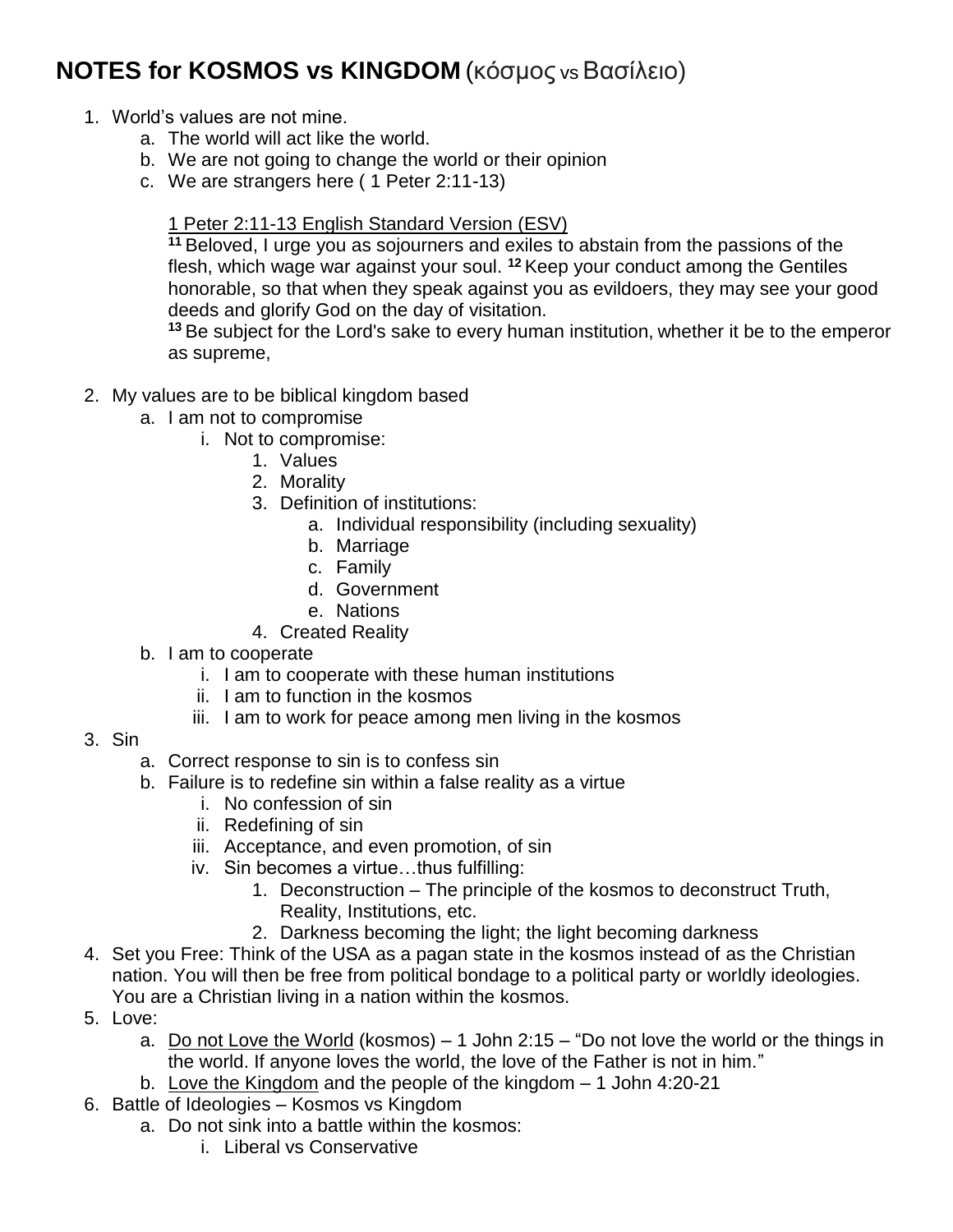## **NOTES for KOSMOS vs KINGDOM** (κόσμος vs Βασίλειο)

- 1. World's values are not mine.
	- a. The world will act like the world.
	- b. We are not going to change the world or their opinion
	- c. We are strangers here ( 1 Peter 2:11-13)

## 1 Peter 2:11-13 English Standard Version (ESV)

**<sup>11</sup>** Beloved, I urge you as sojourners and exiles to abstain from the passions of the flesh, which wage war against your soul. **<sup>12</sup>** Keep your conduct among the Gentiles honorable, so that when they speak against you as evildoers, they may see your good deeds and glorify God on the day of visitation.

**<sup>13</sup>** Be subject for the Lord's sake to every human institution, whether it be to the emperor as supreme,

- 2. My values are to be biblical kingdom based
	- a. I am not to compromise
		- i. Not to compromise:
			- 1. Values
			- 2. Morality
			- 3. Definition of institutions:
				- a. Individual responsibility (including sexuality)
				- b. Marriage
				- c. Family
				- d. Government
				- e. Nations
			- 4. Created Reality
	- b. I am to cooperate
		- i. I am to cooperate with these human institutions
		- ii. I am to function in the kosmos
		- iii. I am to work for peace among men living in the kosmos
- 3. Sin
	- a. Correct response to sin is to confess sin
	- b. Failure is to redefine sin within a false reality as a virtue
		- i. No confession of sin
		- ii. Redefining of sin
		- iii. Acceptance, and even promotion, of sin
		- iv. Sin becomes a virtue…thus fulfilling:
			- 1. Deconstruction The principle of the kosmos to deconstruct Truth, Reality, Institutions, etc.
			- 2. Darkness becoming the light; the light becoming darkness
- 4. Set you Free: Think of the USA as a pagan state in the kosmos instead of as the Christian nation. You will then be free from political bondage to a political party or worldly ideologies. You are a Christian living in a nation within the kosmos.
- 5. Love:
	- a. Do not Love the World (kosmos) 1 John 2:15 "Do not love the world or the things in the world. If anyone loves the world, the love of the Father is not in him."
	- b. Love the Kingdom and the people of the kingdom 1 John 4:20-21
- 6. Battle of Ideologies Kosmos vs Kingdom
	- a. Do not sink into a battle within the kosmos:
		- i. Liberal vs Conservative